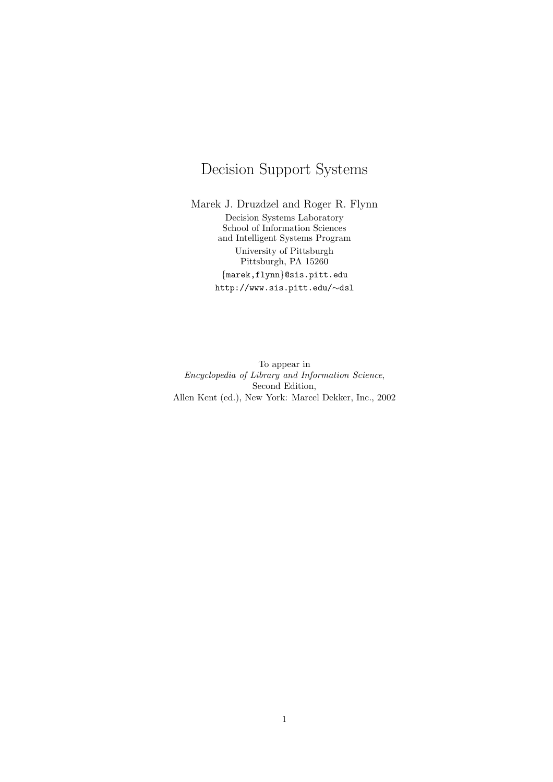# Decision Support Systems

Marek J. Druzdzel and Roger R. Flynn Decision Systems Laboratory School of Information Sciences and Intelligent Systems Program University of Pittsburgh Pittsburgh, PA 15260 {marek,flynn}@sis.pitt.edu http://www.sis.pitt.edu/∼dsl

To appear in Encyclopedia of Library and Information Science, Second Edition, Allen Kent (ed.), New York: Marcel Dekker, Inc., 2002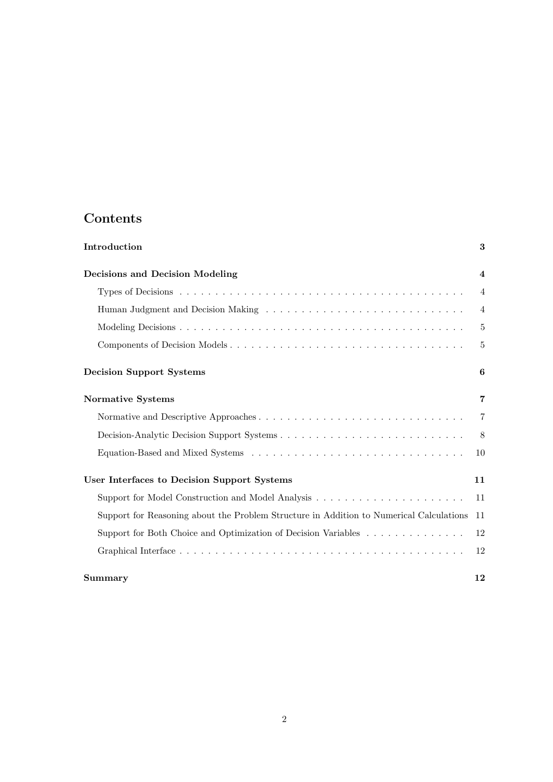# Contents

| Introduction                                                                            | 3              |
|-----------------------------------------------------------------------------------------|----------------|
| <b>Decisions and Decision Modeling</b>                                                  | $\overline{4}$ |
|                                                                                         | $\overline{4}$ |
|                                                                                         | $\overline{4}$ |
|                                                                                         | $\overline{5}$ |
|                                                                                         | 5              |
| <b>Decision Support Systems</b>                                                         | 6              |
| <b>Normative Systems</b>                                                                | 7              |
|                                                                                         | $\overline{7}$ |
|                                                                                         | 8              |
|                                                                                         | 10             |
| User Interfaces to Decision Support Systems                                             | 11             |
|                                                                                         | 11             |
| Support for Reasoning about the Problem Structure in Addition to Numerical Calculations | 11             |
| Support for Both Choice and Optimization of Decision Variables                          | 12             |
|                                                                                         | 12             |
| Summary                                                                                 | 12             |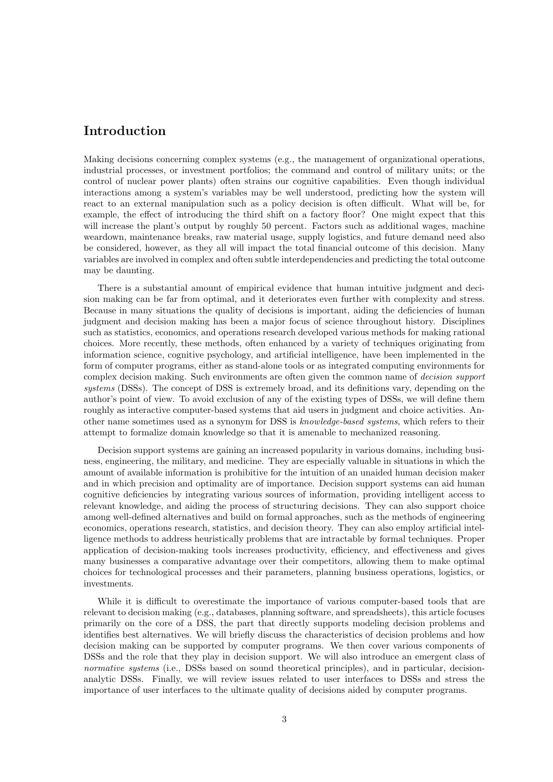# Introduction

Making decisions concerning complex systems (e.g., the management of organizational operations, industrial processes, or investment portfolios; the command and control of military units; or the control of nuclear power plants) often strains our cognitive capabilities. Even though individual interactions among a system's variables may be well understood, predicting how the system will react to an external manipulation such as a policy decision is often difficult. What will be, for example, the effect of introducing the third shift on a factory floor? One might expect that this will increase the plant's output by roughly 50 percent. Factors such as additional wages, machine weardown, maintenance breaks, raw material usage, supply logistics, and future demand need also be considered, however, as they all will impact the total financial outcome of this decision. Many variables are involved in complex and often subtle interdependencies and predicting the total outcome may be daunting.

There is a substantial amount of empirical evidence that human intuitive judgment and decision making can be far from optimal, and it deteriorates even further with complexity and stress. Because in many situations the quality of decisions is important, aiding the deficiencies of human judgment and decision making has been a major focus of science throughout history. Disciplines such as statistics, economics, and operations research developed various methods for making rational choices. More recently, these methods, often enhanced by a variety of techniques originating from information science, cognitive psychology, and artificial intelligence, have been implemented in the form of computer programs, either as stand-alone tools or as integrated computing environments for complex decision making. Such environments are often given the common name of *decision support* systems (DSSs). The concept of DSS is extremely broad, and its definitions vary, depending on the author's point of view. To avoid exclusion of any of the existing types of DSSs, we will define them roughly as interactive computer-based systems that aid users in judgment and choice activities. Another name sometimes used as a synonym for DSS is knowledge-based systems, which refers to their attempt to formalize domain knowledge so that it is amenable to mechanized reasoning.

Decision support systems are gaining an increased popularity in various domains, including business, engineering, the military, and medicine. They are especially valuable in situations in which the amount of available information is prohibitive for the intuition of an unaided human decision maker and in which precision and optimality are of importance. Decision support systems can aid human cognitive deficiencies by integrating various sources of information, providing intelligent access to relevant knowledge, and aiding the process of structuring decisions. They can also support choice among well-defined alternatives and build on formal approaches, such as the methods of engineering economics, operations research, statistics, and decision theory. They can also employ artificial intelligence methods to address heuristically problems that are intractable by formal techniques. Proper application of decision-making tools increases productivity, efficiency, and effectiveness and gives many businesses a comparative advantage over their competitors, allowing them to make optimal choices for technological processes and their parameters, planning business operations, logistics, or investments.

While it is difficult to overestimate the importance of various computer-based tools that are relevant to decision making (e.g., databases, planning software, and spreadsheets), this article focuses primarily on the core of a DSS, the part that directly supports modeling decision problems and identifies best alternatives. We will briefly discuss the characteristics of decision problems and how decision making can be supported by computer programs. We then cover various components of DSSs and the role that they play in decision support. We will also introduce an emergent class of normative systems (i.e., DSSs based on sound theoretical principles), and in particular, decisionanalytic DSSs. Finally, we will review issues related to user interfaces to DSSs and stress the importance of user interfaces to the ultimate quality of decisions aided by computer programs.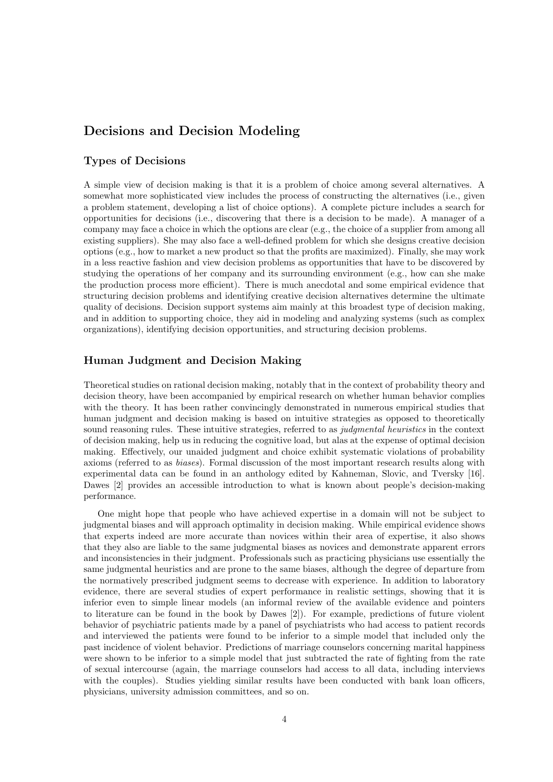# Decisions and Decision Modeling

#### Types of Decisions

A simple view of decision making is that it is a problem of choice among several alternatives. A somewhat more sophisticated view includes the process of constructing the alternatives (i.e., given a problem statement, developing a list of choice options). A complete picture includes a search for opportunities for decisions (i.e., discovering that there is a decision to be made). A manager of a company may face a choice in which the options are clear (e.g., the choice of a supplier from among all existing suppliers). She may also face a well-defined problem for which she designs creative decision options (e.g., how to market a new product so that the profits are maximized). Finally, she may work in a less reactive fashion and view decision problems as opportunities that have to be discovered by studying the operations of her company and its surrounding environment (e.g., how can she make the production process more efficient). There is much anecdotal and some empirical evidence that structuring decision problems and identifying creative decision alternatives determine the ultimate quality of decisions. Decision support systems aim mainly at this broadest type of decision making, and in addition to supporting choice, they aid in modeling and analyzing systems (such as complex organizations), identifying decision opportunities, and structuring decision problems.

#### Human Judgment and Decision Making

Theoretical studies on rational decision making, notably that in the context of probability theory and decision theory, have been accompanied by empirical research on whether human behavior complies with the theory. It has been rather convincingly demonstrated in numerous empirical studies that human judgment and decision making is based on intuitive strategies as opposed to theoretically sound reasoning rules. These intuitive strategies, referred to as *judgmental heuristics* in the context of decision making, help us in reducing the cognitive load, but alas at the expense of optimal decision making. Effectively, our unaided judgment and choice exhibit systematic violations of probability axioms (referred to as biases). Formal discussion of the most important research results along with experimental data can be found in an anthology edited by Kahneman, Slovic, and Tversky [16]. Dawes [2] provides an accessible introduction to what is known about people's decision-making performance.

One might hope that people who have achieved expertise in a domain will not be subject to judgmental biases and will approach optimality in decision making. While empirical evidence shows that experts indeed are more accurate than novices within their area of expertise, it also shows that they also are liable to the same judgmental biases as novices and demonstrate apparent errors and inconsistencies in their judgment. Professionals such as practicing physicians use essentially the same judgmental heuristics and are prone to the same biases, although the degree of departure from the normatively prescribed judgment seems to decrease with experience. In addition to laboratory evidence, there are several studies of expert performance in realistic settings, showing that it is inferior even to simple linear models (an informal review of the available evidence and pointers to literature can be found in the book by Dawes [2]). For example, predictions of future violent behavior of psychiatric patients made by a panel of psychiatrists who had access to patient records and interviewed the patients were found to be inferior to a simple model that included only the past incidence of violent behavior. Predictions of marriage counselors concerning marital happiness were shown to be inferior to a simple model that just subtracted the rate of fighting from the rate of sexual intercourse (again, the marriage counselors had access to all data, including interviews with the couples). Studies yielding similar results have been conducted with bank loan officers, physicians, university admission committees, and so on.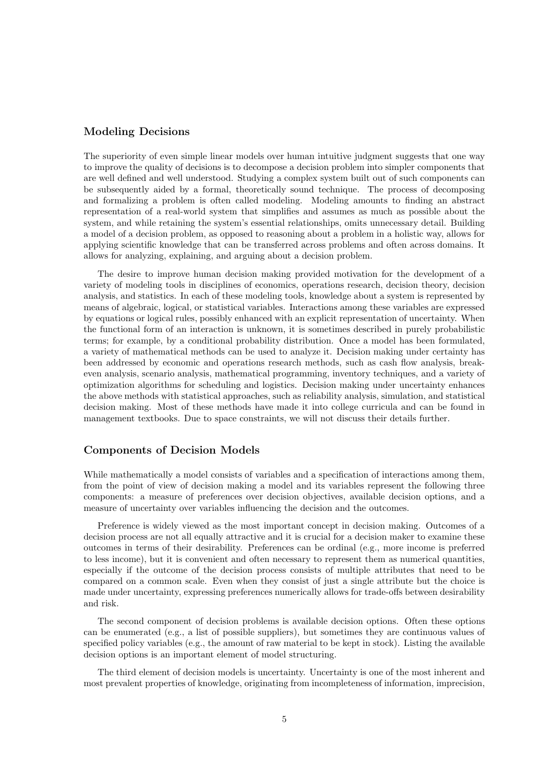#### Modeling Decisions

The superiority of even simple linear models over human intuitive judgment suggests that one way to improve the quality of decisions is to decompose a decision problem into simpler components that are well defined and well understood. Studying a complex system built out of such components can be subsequently aided by a formal, theoretically sound technique. The process of decomposing and formalizing a problem is often called modeling. Modeling amounts to finding an abstract representation of a real-world system that simplifies and assumes as much as possible about the system, and while retaining the system's essential relationships, omits unnecessary detail. Building a model of a decision problem, as opposed to reasoning about a problem in a holistic way, allows for applying scientific knowledge that can be transferred across problems and often across domains. It allows for analyzing, explaining, and arguing about a decision problem.

The desire to improve human decision making provided motivation for the development of a variety of modeling tools in disciplines of economics, operations research, decision theory, decision analysis, and statistics. In each of these modeling tools, knowledge about a system is represented by means of algebraic, logical, or statistical variables. Interactions among these variables are expressed by equations or logical rules, possibly enhanced with an explicit representation of uncertainty. When the functional form of an interaction is unknown, it is sometimes described in purely probabilistic terms; for example, by a conditional probability distribution. Once a model has been formulated, a variety of mathematical methods can be used to analyze it. Decision making under certainty has been addressed by economic and operations research methods, such as cash flow analysis, breakeven analysis, scenario analysis, mathematical programming, inventory techniques, and a variety of optimization algorithms for scheduling and logistics. Decision making under uncertainty enhances the above methods with statistical approaches, such as reliability analysis, simulation, and statistical decision making. Most of these methods have made it into college curricula and can be found in management textbooks. Due to space constraints, we will not discuss their details further.

#### Components of Decision Models

While mathematically a model consists of variables and a specification of interactions among them, from the point of view of decision making a model and its variables represent the following three components: a measure of preferences over decision objectives, available decision options, and a measure of uncertainty over variables influencing the decision and the outcomes.

Preference is widely viewed as the most important concept in decision making. Outcomes of a decision process are not all equally attractive and it is crucial for a decision maker to examine these outcomes in terms of their desirability. Preferences can be ordinal (e.g., more income is preferred to less income), but it is convenient and often necessary to represent them as numerical quantities, especially if the outcome of the decision process consists of multiple attributes that need to be compared on a common scale. Even when they consist of just a single attribute but the choice is made under uncertainty, expressing preferences numerically allows for trade-offs between desirability and risk.

The second component of decision problems is available decision options. Often these options can be enumerated (e.g., a list of possible suppliers), but sometimes they are continuous values of specified policy variables (e.g., the amount of raw material to be kept in stock). Listing the available decision options is an important element of model structuring.

The third element of decision models is uncertainty. Uncertainty is one of the most inherent and most prevalent properties of knowledge, originating from incompleteness of information, imprecision,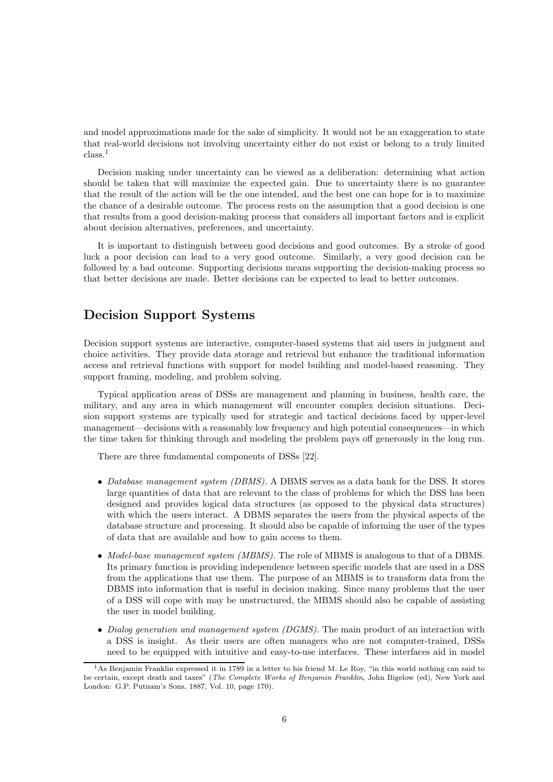and model approximations made for the sake of simplicity. It would not be an exaggeration to state that real-world decisions not involving uncertainty either do not exist or belong to a truly limited class.<sup>1</sup>

Decision making under uncertainty can be viewed as a deliberation: determining what action should be taken that will maximize the expected gain. Due to uncertainty there is no guarantee that the result of the action will be the one intended, and the best one can hope for is to maximize the chance of a desirable outcome. The process rests on the assumption that a good decision is one that results from a good decision-making process that considers all important factors and is explicit about decision alternatives, preferences, and uncertainty.

It is important to distinguish between good decisions and good outcomes. By a stroke of good luck a poor decision can lead to a very good outcome. Similarly, a very good decision can be followed by a bad outcome. Supporting decisions means supporting the decision-making process so that better decisions are made. Better decisions can be expected to lead to better outcomes.

### Decision Support Systems

Decision support systems are interactive, computer-based systems that aid users in judgment and choice activities. They provide data storage and retrieval but enhance the traditional information access and retrieval functions with support for model building and model-based reasoning. They support framing, modeling, and problem solving.

Typical application areas of DSSs are management and planning in business, health care, the military, and any area in which management will encounter complex decision situations. Decision support systems are typically used for strategic and tactical decisions faced by upper-level management—decisions with a reasonably low frequency and high potential consequences—in which the time taken for thinking through and modeling the problem pays off generously in the long run.

There are three fundamental components of DSSs [22].

- Database management system (DBMS). A DBMS serves as a data bank for the DSS. It stores large quantities of data that are relevant to the class of problems for which the DSS has been designed and provides logical data structures (as opposed to the physical data structures) with which the users interact. A DBMS separates the users from the physical aspects of the database structure and processing. It should also be capable of informing the user of the types of data that are available and how to gain access to them.
- Model-base management system (MBMS). The role of MBMS is analogous to that of a DBMS. Its primary function is providing independence between specific models that are used in a DSS from the applications that use them. The purpose of an MBMS is to transform data from the DBMS into information that is useful in decision making. Since many problems that the user of a DSS will cope with may be unstructured, the MBMS should also be capable of assisting the user in model building.
- Dialog generation and management system (DGMS). The main product of an interaction with a DSS is insight. As their users are often managers who are not computer-trained, DSSs need to be equipped with intuitive and easy-to-use interfaces. These interfaces aid in model

<sup>1</sup>As Benjamin Franklin expressed it in 1789 in a letter to his friend M. Le Roy, "in this world nothing can said to be certain, except death and taxes" (The Complete Works of Benjamin Franklin, John Bigelow (ed), New York and London: G.P. Putnam's Sons, 1887, Vol. 10, page 170).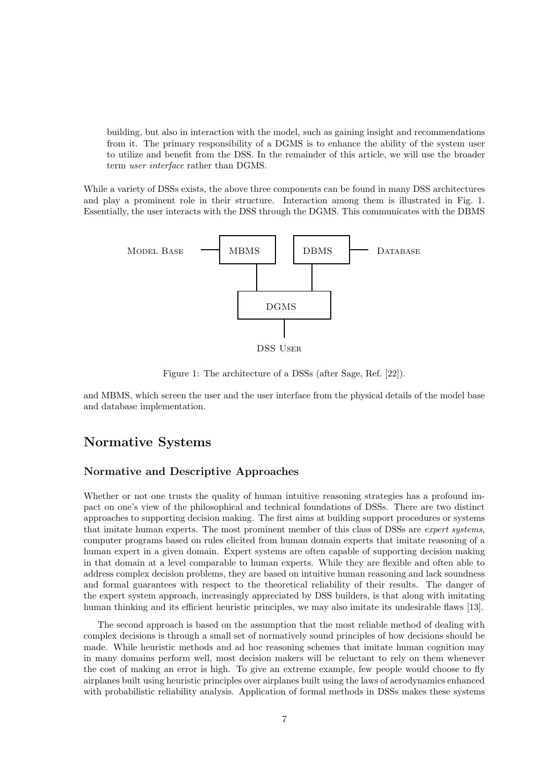building, but also in interaction with the model, such as gaining insight and recommendations from it. The primary responsibility of a DGMS is to enhance the ability of the system user to utilize and benefit from the DSS. In the remainder of this article, we will use the broader term user interface rather than DGMS.

While a variety of DSSs exists, the above three components can be found in many DSS architectures and play a prominent role in their structure. Interaction among them is illustrated in Fig. 1. Essentially, the user interacts with the DSS through the DGMS. This communicates with the DBMS



Figure 1: The architecture of a DSSs (after Sage, Ref. [22]).

and MBMS, which screen the user and the user interface from the physical details of the model base and database implementation.

## Normative Systems

#### Normative and Descriptive Approaches

Whether or not one trusts the quality of human intuitive reasoning strategies has a profound impact on one's view of the philosophical and technical foundations of DSSs. There are two distinct approaches to supporting decision making. The first aims at building support procedures or systems that imitate human experts. The most prominent member of this class of DSSs are expert systems, computer programs based on rules elicited from human domain experts that imitate reasoning of a human expert in a given domain. Expert systems are often capable of supporting decision making in that domain at a level comparable to human experts. While they are flexible and often able to address complex decision problems, they are based on intuitive human reasoning and lack soundness and formal guarantees with respect to the theoretical reliability of their results. The danger of the expert system approach, increasingly appreciated by DSS builders, is that along with imitating human thinking and its efficient heuristic principles, we may also imitate its undesirable flaws [13].

The second approach is based on the assumption that the most reliable method of dealing with complex decisions is through a small set of normatively sound principles of how decisions should be made. While heuristic methods and ad hoc reasoning schemes that imitate human cognition may in many domains perform well, most decision makers will be reluctant to rely on them whenever the cost of making an error is high. To give an extreme example, few people would choose to fly airplanes built using heuristic principles over airplanes built using the laws of aerodynamics enhanced with probabilistic reliability analysis. Application of formal methods in DSSs makes these systems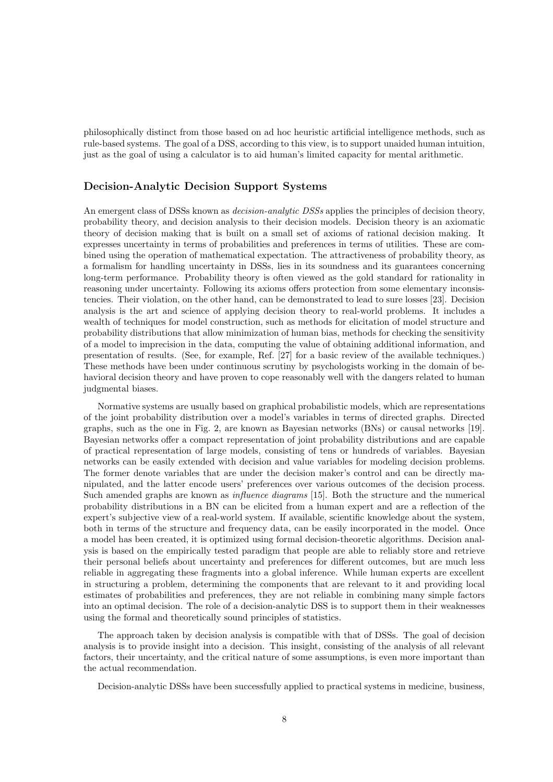philosophically distinct from those based on ad hoc heuristic artificial intelligence methods, such as rule-based systems. The goal of a DSS, according to this view, is to support unaided human intuition, just as the goal of using a calculator is to aid human's limited capacity for mental arithmetic.

#### Decision-Analytic Decision Support Systems

An emergent class of DSSs known as *decision-analytic DSSs* applies the principles of decision theory, probability theory, and decision analysis to their decision models. Decision theory is an axiomatic theory of decision making that is built on a small set of axioms of rational decision making. It expresses uncertainty in terms of probabilities and preferences in terms of utilities. These are combined using the operation of mathematical expectation. The attractiveness of probability theory, as a formalism for handling uncertainty in DSSs, lies in its soundness and its guarantees concerning long-term performance. Probability theory is often viewed as the gold standard for rationality in reasoning under uncertainty. Following its axioms offers protection from some elementary inconsistencies. Their violation, on the other hand, can be demonstrated to lead to sure losses [23]. Decision analysis is the art and science of applying decision theory to real-world problems. It includes a wealth of techniques for model construction, such as methods for elicitation of model structure and probability distributions that allow minimization of human bias, methods for checking the sensitivity of a model to imprecision in the data, computing the value of obtaining additional information, and presentation of results. (See, for example, Ref. [27] for a basic review of the available techniques.) These methods have been under continuous scrutiny by psychologists working in the domain of behavioral decision theory and have proven to cope reasonably well with the dangers related to human judgmental biases.

Normative systems are usually based on graphical probabilistic models, which are representations of the joint probability distribution over a model's variables in terms of directed graphs. Directed graphs, such as the one in Fig. 2, are known as Bayesian networks (BNs) or causal networks [19]. Bayesian networks offer a compact representation of joint probability distributions and are capable of practical representation of large models, consisting of tens or hundreds of variables. Bayesian networks can be easily extended with decision and value variables for modeling decision problems. The former denote variables that are under the decision maker's control and can be directly manipulated, and the latter encode users' preferences over various outcomes of the decision process. Such amended graphs are known as influence diagrams [15]. Both the structure and the numerical probability distributions in a BN can be elicited from a human expert and are a reflection of the expert's subjective view of a real-world system. If available, scientific knowledge about the system, both in terms of the structure and frequency data, can be easily incorporated in the model. Once a model has been created, it is optimized using formal decision-theoretic algorithms. Decision analysis is based on the empirically tested paradigm that people are able to reliably store and retrieve their personal beliefs about uncertainty and preferences for different outcomes, but are much less reliable in aggregating these fragments into a global inference. While human experts are excellent in structuring a problem, determining the components that are relevant to it and providing local estimates of probabilities and preferences, they are not reliable in combining many simple factors into an optimal decision. The role of a decision-analytic DSS is to support them in their weaknesses using the formal and theoretically sound principles of statistics.

The approach taken by decision analysis is compatible with that of DSSs. The goal of decision analysis is to provide insight into a decision. This insight, consisting of the analysis of all relevant factors, their uncertainty, and the critical nature of some assumptions, is even more important than the actual recommendation.

Decision-analytic DSSs have been successfully applied to practical systems in medicine, business,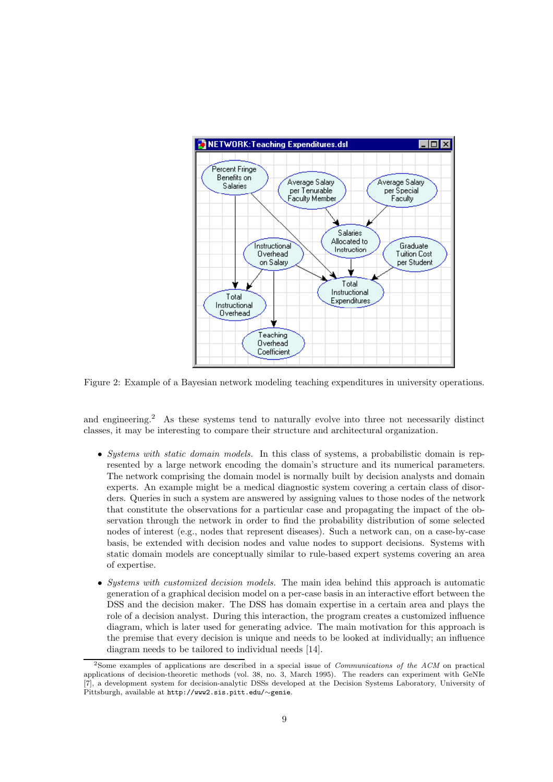

Figure 2: Example of a Bayesian network modeling teaching expenditures in university operations.

and engineering.<sup>2</sup> As these systems tend to naturally evolve into three not necessarily distinct classes, it may be interesting to compare their structure and architectural organization.

- Systems with static domain models. In this class of systems, a probabilistic domain is represented by a large network encoding the domain's structure and its numerical parameters. The network comprising the domain model is normally built by decision analysts and domain experts. An example might be a medical diagnostic system covering a certain class of disorders. Queries in such a system are answered by assigning values to those nodes of the network that constitute the observations for a particular case and propagating the impact of the observation through the network in order to find the probability distribution of some selected nodes of interest (e.g., nodes that represent diseases). Such a network can, on a case-by-case basis, be extended with decision nodes and value nodes to support decisions. Systems with static domain models are conceptually similar to rule-based expert systems covering an area of expertise.
- Systems with customized decision models. The main idea behind this approach is automatic generation of a graphical decision model on a per-case basis in an interactive effort between the DSS and the decision maker. The DSS has domain expertise in a certain area and plays the role of a decision analyst. During this interaction, the program creates a customized influence diagram, which is later used for generating advice. The main motivation for this approach is the premise that every decision is unique and needs to be looked at individually; an influence diagram needs to be tailored to individual needs [14].

<sup>&</sup>lt;sup>2</sup>Some examples of applications are described in a special issue of *Communications of the ACM* on practical applications of decision-theoretic methods (vol. 38, no. 3, March 1995). The readers can experiment with GeNIe [7], a development system for decision-analytic DSSs developed at the Decision Systems Laboratory, University of Pittsburgh, available at http://www2.sis.pitt.edu/∼genie.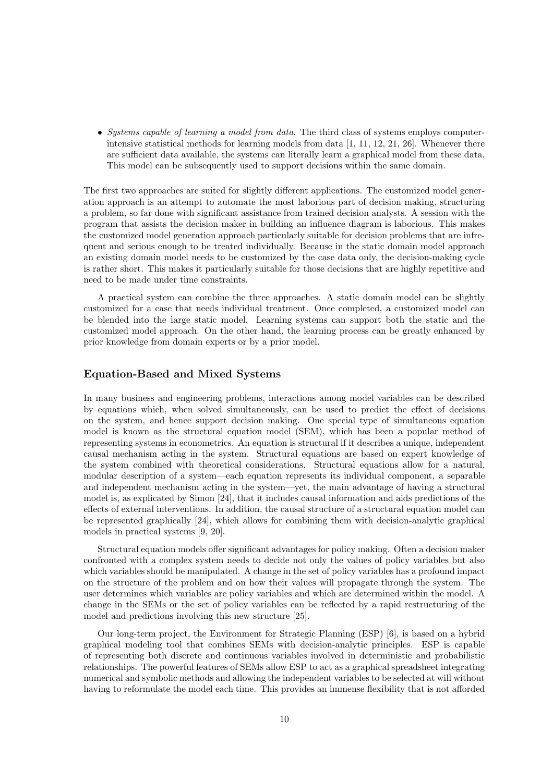• Systems capable of learning a model from data. The third class of systems employs computerintensive statistical methods for learning models from data [1, 11, 12, 21, 26]. Whenever there are sufficient data available, the systems can literally learn a graphical model from these data. This model can be subsequently used to support decisions within the same domain.

The first two approaches are suited for slightly different applications. The customized model generation approach is an attempt to automate the most laborious part of decision making, structuring a problem, so far done with significant assistance from trained decision analysts. A session with the program that assists the decision maker in building an influence diagram is laborious. This makes the customized model generation approach particularly suitable for decision problems that are infrequent and serious enough to be treated individually. Because in the static domain model approach an existing domain model needs to be customized by the case data only, the decision-making cycle is rather short. This makes it particularly suitable for those decisions that are highly repetitive and need to be made under time constraints.

A practical system can combine the three approaches. A static domain model can be slightly customized for a case that needs individual treatment. Once completed, a customized model can be blended into the large static model. Learning systems can support both the static and the customized model approach. On the other hand, the learning process can be greatly enhanced by prior knowledge from domain experts or by a prior model.

#### Equation-Based and Mixed Systems

In many business and engineering problems, interactions among model variables can be described by equations which, when solved simultaneously, can be used to predict the effect of decisions on the system, and hence support decision making. One special type of simultaneous equation model is known as the structural equation model (SEM), which has been a popular method of representing systems in econometrics. An equation is structural if it describes a unique, independent causal mechanism acting in the system. Structural equations are based on expert knowledge of the system combined with theoretical considerations. Structural equations allow for a natural, modular description of a system—each equation represents its individual component, a separable and independent mechanism acting in the system—yet, the main advantage of having a structural model is, as explicated by Simon [24], that it includes causal information and aids predictions of the effects of external interventions. In addition, the causal structure of a structural equation model can be represented graphically [24], which allows for combining them with decision-analytic graphical models in practical systems [9, 20].

Structural equation models offer significant advantages for policy making. Often a decision maker confronted with a complex system needs to decide not only the values of policy variables but also which variables should be manipulated. A change in the set of policy variables has a profound impact on the structure of the problem and on how their values will propagate through the system. The user determines which variables are policy variables and which are determined within the model. A change in the SEMs or the set of policy variables can be reflected by a rapid restructuring of the model and predictions involving this new structure [25].

Our long-term project, the Environment for Strategic Planning (ESP) [6], is based on a hybrid graphical modeling tool that combines SEMs with decision-analytic principles. ESP is capable of representing both discrete and continuous variables involved in deterministic and probabilistic relationships. The powerful features of SEMs allow ESP to act as a graphical spreadsheet integrating numerical and symbolic methods and allowing the independent variables to be selected at will without having to reformulate the model each time. This provides an immense flexibility that is not afforded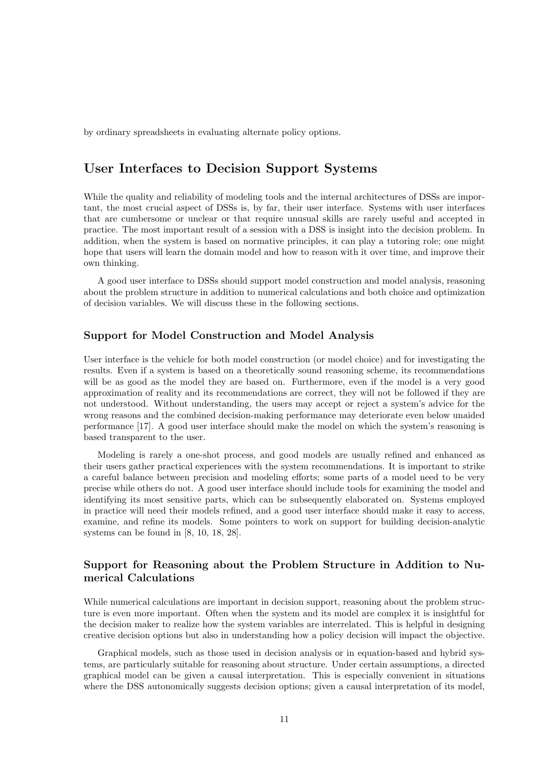by ordinary spreadsheets in evaluating alternate policy options.

# User Interfaces to Decision Support Systems

While the quality and reliability of modeling tools and the internal architectures of DSSs are important, the most crucial aspect of DSSs is, by far, their user interface. Systems with user interfaces that are cumbersome or unclear or that require unusual skills are rarely useful and accepted in practice. The most important result of a session with a DSS is insight into the decision problem. In addition, when the system is based on normative principles, it can play a tutoring role; one might hope that users will learn the domain model and how to reason with it over time, and improve their own thinking.

A good user interface to DSSs should support model construction and model analysis, reasoning about the problem structure in addition to numerical calculations and both choice and optimization of decision variables. We will discuss these in the following sections.

#### Support for Model Construction and Model Analysis

User interface is the vehicle for both model construction (or model choice) and for investigating the results. Even if a system is based on a theoretically sound reasoning scheme, its recommendations will be as good as the model they are based on. Furthermore, even if the model is a very good approximation of reality and its recommendations are correct, they will not be followed if they are not understood. Without understanding, the users may accept or reject a system's advice for the wrong reasons and the combined decision-making performance may deteriorate even below unaided performance [17]. A good user interface should make the model on which the system's reasoning is based transparent to the user.

Modeling is rarely a one-shot process, and good models are usually refined and enhanced as their users gather practical experiences with the system recommendations. It is important to strike a careful balance between precision and modeling efforts; some parts of a model need to be very precise while others do not. A good user interface should include tools for examining the model and identifying its most sensitive parts, which can be subsequently elaborated on. Systems employed in practice will need their models refined, and a good user interface should make it easy to access, examine, and refine its models. Some pointers to work on support for building decision-analytic systems can be found in [8, 10, 18, 28].

#### Support for Reasoning about the Problem Structure in Addition to Numerical Calculations

While numerical calculations are important in decision support, reasoning about the problem structure is even more important. Often when the system and its model are complex it is insightful for the decision maker to realize how the system variables are interrelated. This is helpful in designing creative decision options but also in understanding how a policy decision will impact the objective.

Graphical models, such as those used in decision analysis or in equation-based and hybrid systems, are particularly suitable for reasoning about structure. Under certain assumptions, a directed graphical model can be given a causal interpretation. This is especially convenient in situations where the DSS autonomically suggests decision options; given a causal interpretation of its model,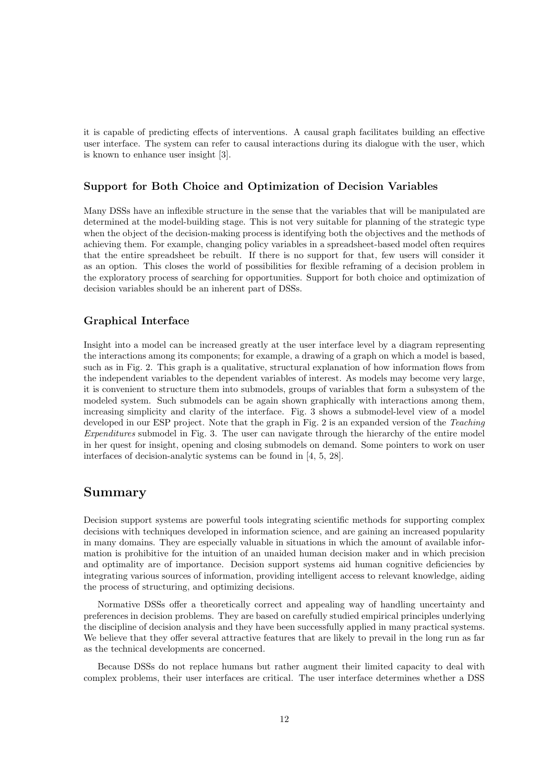it is capable of predicting effects of interventions. A causal graph facilitates building an effective user interface. The system can refer to causal interactions during its dialogue with the user, which is known to enhance user insight [3].

#### Support for Both Choice and Optimization of Decision Variables

Many DSSs have an inflexible structure in the sense that the variables that will be manipulated are determined at the model-building stage. This is not very suitable for planning of the strategic type when the object of the decision-making process is identifying both the objectives and the methods of achieving them. For example, changing policy variables in a spreadsheet-based model often requires that the entire spreadsheet be rebuilt. If there is no support for that, few users will consider it as an option. This closes the world of possibilities for flexible reframing of a decision problem in the exploratory process of searching for opportunities. Support for both choice and optimization of decision variables should be an inherent part of DSSs.

#### Graphical Interface

Insight into a model can be increased greatly at the user interface level by a diagram representing the interactions among its components; for example, a drawing of a graph on which a model is based, such as in Fig. 2. This graph is a qualitative, structural explanation of how information flows from the independent variables to the dependent variables of interest. As models may become very large, it is convenient to structure them into submodels, groups of variables that form a subsystem of the modeled system. Such submodels can be again shown graphically with interactions among them, increasing simplicity and clarity of the interface. Fig. 3 shows a submodel-level view of a model developed in our ESP project. Note that the graph in Fig. 2 is an expanded version of the Teaching Expenditures submodel in Fig. 3. The user can navigate through the hierarchy of the entire model in her quest for insight, opening and closing submodels on demand. Some pointers to work on user interfaces of decision-analytic systems can be found in [4, 5, 28].

#### Summary

Decision support systems are powerful tools integrating scientific methods for supporting complex decisions with techniques developed in information science, and are gaining an increased popularity in many domains. They are especially valuable in situations in which the amount of available information is prohibitive for the intuition of an unaided human decision maker and in which precision and optimality are of importance. Decision support systems aid human cognitive deficiencies by integrating various sources of information, providing intelligent access to relevant knowledge, aiding the process of structuring, and optimizing decisions.

Normative DSSs offer a theoretically correct and appealing way of handling uncertainty and preferences in decision problems. They are based on carefully studied empirical principles underlying the discipline of decision analysis and they have been successfully applied in many practical systems. We believe that they offer several attractive features that are likely to prevail in the long run as far as the technical developments are concerned.

Because DSSs do not replace humans but rather augment their limited capacity to deal with complex problems, their user interfaces are critical. The user interface determines whether a DSS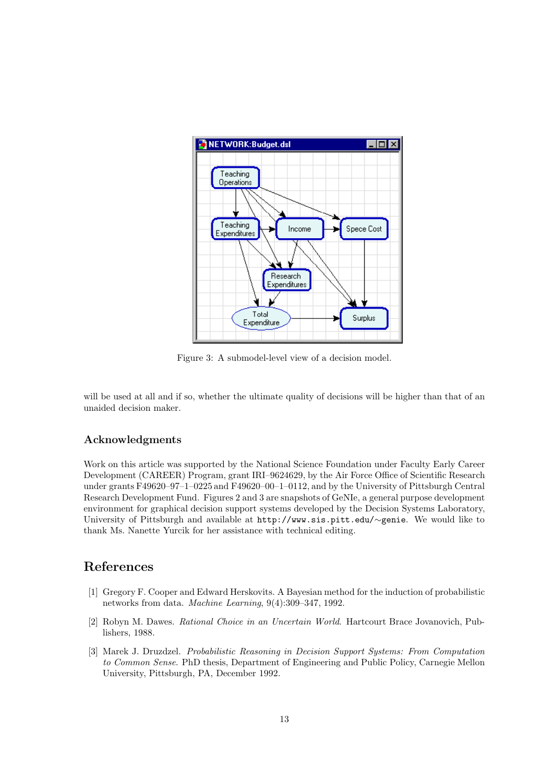

Figure 3: A submodel-level view of a decision model.

will be used at all and if so, whether the ultimate quality of decisions will be higher than that of an unaided decision maker.

#### Acknowledgments

Work on this article was supported by the National Science Foundation under Faculty Early Career Development (CAREER) Program, grant IRI–9624629, by the Air Force Office of Scientific Research under grants F49620–97–1–0225 and F49620–00–1–0112, and by the University of Pittsburgh Central Research Development Fund. Figures 2 and 3 are snapshots of GeNIe, a general purpose development environment for graphical decision support systems developed by the Decision Systems Laboratory, University of Pittsburgh and available at http://www.sis.pitt.edu/∼genie. We would like to thank Ms. Nanette Yurcik for her assistance with technical editing.

# References

- [1] Gregory F. Cooper and Edward Herskovits. A Bayesian method for the induction of probabilistic networks from data. Machine Learning, 9(4):309–347, 1992.
- [2] Robyn M. Dawes. Rational Choice in an Uncertain World. Hartcourt Brace Jovanovich, Publishers, 1988.
- [3] Marek J. Druzdzel. Probabilistic Reasoning in Decision Support Systems: From Computation to Common Sense. PhD thesis, Department of Engineering and Public Policy, Carnegie Mellon University, Pittsburgh, PA, December 1992.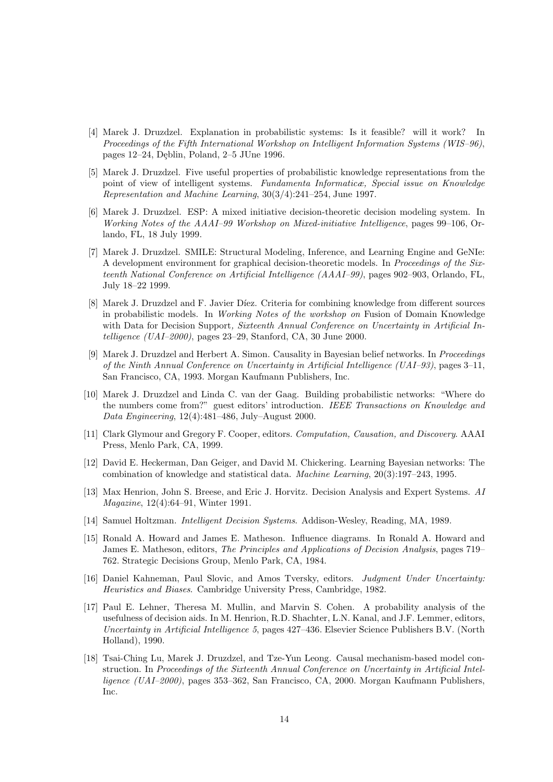- [4] Marek J. Druzdzel. Explanation in probabilistic systems: Is it feasible? will it work? In Proceedings of the Fifth International Workshop on Intelligent Information Systems (WIS–96), pages 12–24, Dęblin, Poland, 2–5 JUne 1996.
- [5] Marek J. Druzdzel. Five useful properties of probabilistic knowledge representations from the point of view of intelligent systems. Fundamenta Informaticæ, Special issue on Knowledge Representation and Machine Learning, 30(3/4):241–254, June 1997.
- [6] Marek J. Druzdzel. ESP: A mixed initiative decision-theoretic decision modeling system. In Working Notes of the AAAI–99 Workshop on Mixed-initiative Intelligence, pages 99–106, Orlando, FL, 18 July 1999.
- [7] Marek J. Druzdzel. SMILE: Structural Modeling, Inference, and Learning Engine and GeNIe: A development environment for graphical decision-theoretic models. In Proceedings of the Sixteenth National Conference on Artificial Intelligence (AAAI–99), pages 902–903, Orlando, FL, July 18–22 1999.
- [8] Marek J. Druzdzel and F. Javier Díez. Criteria for combining knowledge from different sources in probabilistic models. In Working Notes of the workshop on Fusion of Domain Knowledge with Data for Decision Support, Sixteenth Annual Conference on Uncertainty in Artificial Intelligence (UAI–2000), pages 23–29, Stanford, CA, 30 June 2000.
- [9] Marek J. Druzdzel and Herbert A. Simon. Causality in Bayesian belief networks. In Proceedings of the Ninth Annual Conference on Uncertainty in Artificial Intelligence (UAI–93), pages 3–11, San Francisco, CA, 1993. Morgan Kaufmann Publishers, Inc.
- [10] Marek J. Druzdzel and Linda C. van der Gaag. Building probabilistic networks: "Where do the numbers come from?" guest editors' introduction. IEEE Transactions on Knowledge and Data Engineering, 12(4):481–486, July–August 2000.
- [11] Clark Glymour and Gregory F. Cooper, editors. Computation, Causation, and Discovery. AAAI Press, Menlo Park, CA, 1999.
- [12] David E. Heckerman, Dan Geiger, and David M. Chickering. Learning Bayesian networks: The combination of knowledge and statistical data. Machine Learning, 20(3):197–243, 1995.
- [13] Max Henrion, John S. Breese, and Eric J. Horvitz. Decision Analysis and Expert Systems. AI Magazine, 12(4):64–91, Winter 1991.
- [14] Samuel Holtzman. Intelligent Decision Systems. Addison-Wesley, Reading, MA, 1989.
- [15] Ronald A. Howard and James E. Matheson. Influence diagrams. In Ronald A. Howard and James E. Matheson, editors, The Principles and Applications of Decision Analysis, pages 719– 762. Strategic Decisions Group, Menlo Park, CA, 1984.
- [16] Daniel Kahneman, Paul Slovic, and Amos Tversky, editors. Judgment Under Uncertainty: Heuristics and Biases. Cambridge University Press, Cambridge, 1982.
- [17] Paul E. Lehner, Theresa M. Mullin, and Marvin S. Cohen. A probability analysis of the usefulness of decision aids. In M. Henrion, R.D. Shachter, L.N. Kanal, and J.F. Lemmer, editors, Uncertainty in Artificial Intelligence 5, pages 427–436. Elsevier Science Publishers B.V. (North Holland), 1990.
- [18] Tsai-Ching Lu, Marek J. Druzdzel, and Tze-Yun Leong. Causal mechanism-based model construction. In Proceedings of the Sixteenth Annual Conference on Uncertainty in Artificial Intelligence (UAI–2000), pages 353–362, San Francisco, CA, 2000. Morgan Kaufmann Publishers, Inc.